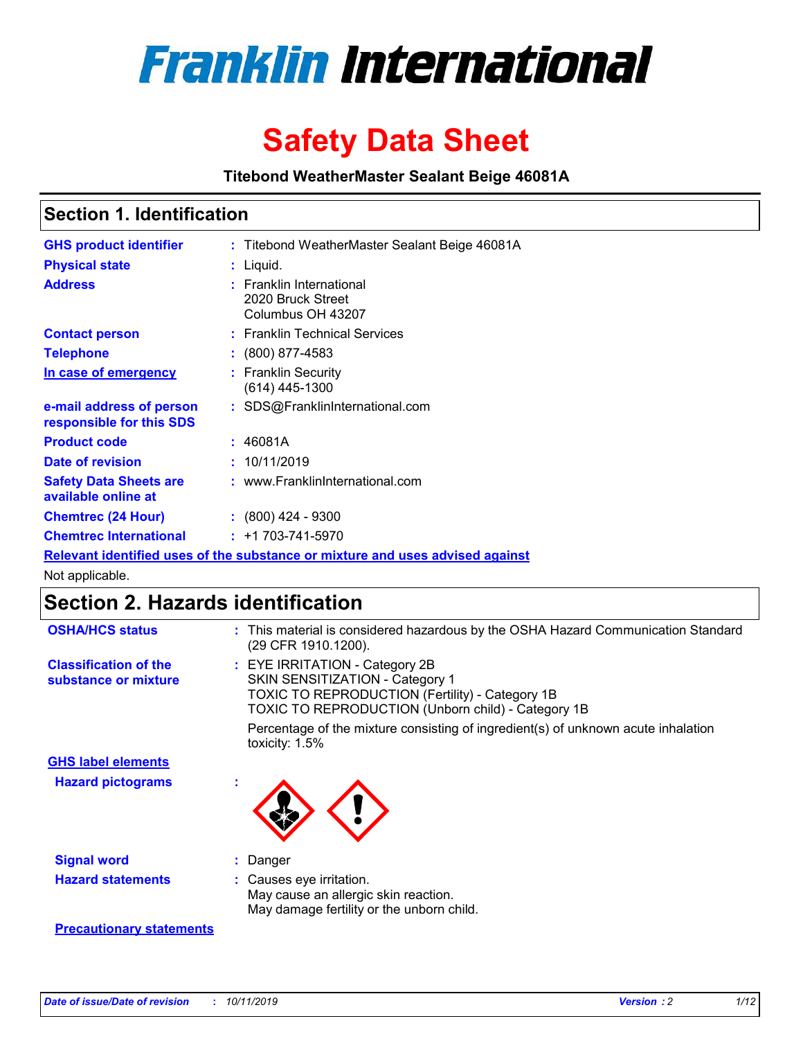

# **Safety Data Sheet**

**Titebond WeatherMaster Sealant Beige 46081A**

## **Section 1. Identification**

| <b>GHS product identifier</b>                        | : Titebond WeatherMaster Sealant Beige 46081A                                 |
|------------------------------------------------------|-------------------------------------------------------------------------------|
| <b>Physical state</b>                                | : Liquid.                                                                     |
| <b>Address</b>                                       | : Franklin International<br>2020 Bruck Street<br>Columbus OH 43207            |
| <b>Contact person</b>                                | : Franklin Technical Services                                                 |
| <b>Telephone</b>                                     | : (800) 877-4583                                                              |
| In case of emergency                                 | : Franklin Security<br>$(614)$ 445-1300                                       |
| e-mail address of person<br>responsible for this SDS | : SDS@FranklinInternational.com                                               |
| <b>Product code</b>                                  | : 46081A                                                                      |
| Date of revision                                     | : 10/11/2019                                                                  |
| <b>Safety Data Sheets are</b><br>available online at | : www.FranklinInternational.com                                               |
| <b>Chemtrec (24 Hour)</b>                            | $\div$ (800) 424 - 9300                                                       |
| <b>Chemtrec International</b>                        | $: +1703 - 741 - 5970$                                                        |
|                                                      | Relevant identified uses of the substance or mixture and uses advised against |

Not applicable.

# **Section 2. Hazards identification**

| <b>OSHA/HCS status</b>                               | : This material is considered hazardous by the OSHA Hazard Communication Standard<br>(29 CFR 1910.1200).                                                                                 |
|------------------------------------------------------|------------------------------------------------------------------------------------------------------------------------------------------------------------------------------------------|
| <b>Classification of the</b><br>substance or mixture | : EYE IRRITATION - Category 2B<br>SKIN SENSITIZATION - Category 1<br><b>TOXIC TO REPRODUCTION (Fertility) - Category 1B</b><br><b>TOXIC TO REPRODUCTION (Unborn child) - Category 1B</b> |
|                                                      | Percentage of the mixture consisting of ingredient(s) of unknown acute inhalation<br>toxicity: $1.5\%$                                                                                   |
| <b>GHS label elements</b>                            |                                                                                                                                                                                          |
| <b>Hazard pictograms</b>                             |                                                                                                                                                                                          |
| <b>Signal word</b>                                   | : Danger                                                                                                                                                                                 |
| <b>Hazard statements</b>                             | : Causes eye irritation.<br>May cause an allergic skin reaction.<br>May damage fertility or the unborn child.                                                                            |
| <b>Precautionary statements</b>                      |                                                                                                                                                                                          |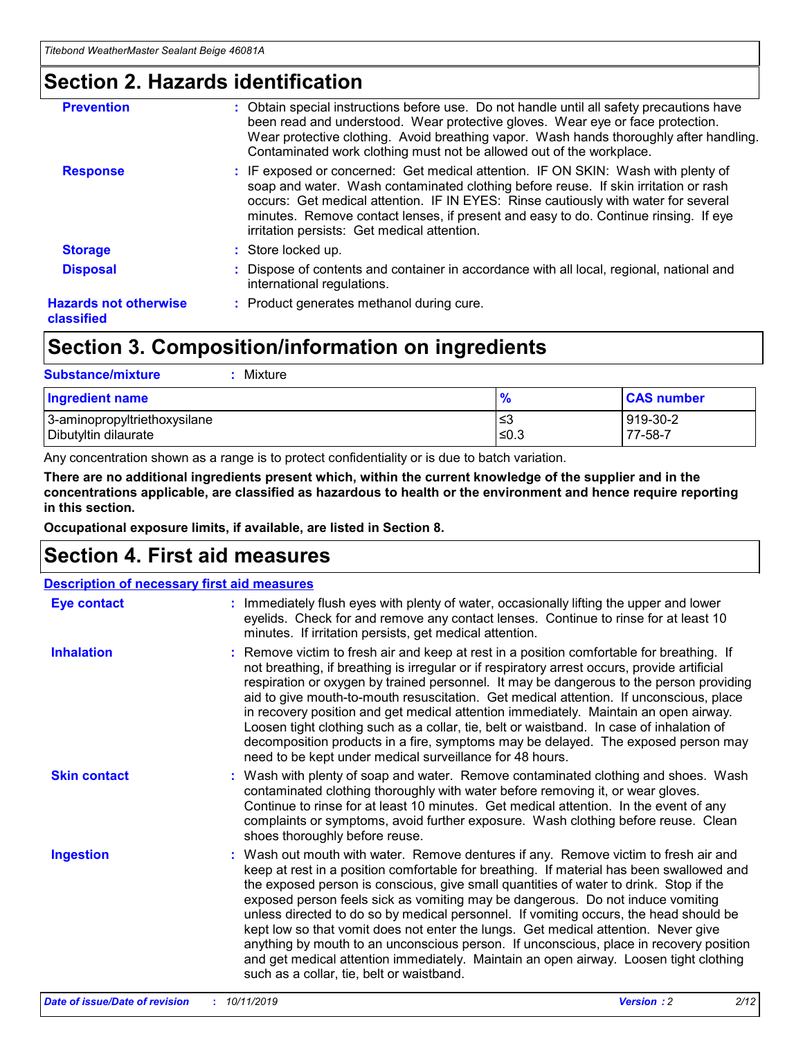# **Section 2. Hazards identification**

| <b>Prevention</b>                          | : Obtain special instructions before use. Do not handle until all safety precautions have<br>been read and understood. Wear protective gloves. Wear eye or face protection.<br>Wear protective clothing. Avoid breathing vapor. Wash hands thoroughly after handling.<br>Contaminated work clothing must not be allowed out of the workplace.                                                        |
|--------------------------------------------|------------------------------------------------------------------------------------------------------------------------------------------------------------------------------------------------------------------------------------------------------------------------------------------------------------------------------------------------------------------------------------------------------|
| <b>Response</b>                            | : IF exposed or concerned: Get medical attention. IF ON SKIN: Wash with plenty of<br>soap and water. Wash contaminated clothing before reuse. If skin irritation or rash<br>occurs: Get medical attention. IF IN EYES: Rinse cautiously with water for several<br>minutes. Remove contact lenses, if present and easy to do. Continue rinsing. If eye<br>irritation persists: Get medical attention. |
| <b>Storage</b>                             | : Store locked up.                                                                                                                                                                                                                                                                                                                                                                                   |
| <b>Disposal</b>                            | : Dispose of contents and container in accordance with all local, regional, national and<br>international regulations.                                                                                                                                                                                                                                                                               |
| <b>Hazards not otherwise</b><br>classified | : Product generates methanol during cure.                                                                                                                                                                                                                                                                                                                                                            |
|                                            |                                                                                                                                                                                                                                                                                                                                                                                                      |

# **Section 3. Composition/information on ingredients**

| <b>Substance/mixture</b><br>Mixture                  |                   |                     |
|------------------------------------------------------|-------------------|---------------------|
| <b>Ingredient name</b>                               | $\frac{9}{6}$     | <b>CAS number</b>   |
| 3-aminopropyltriethoxysilane<br>Dibutyltin dilaurate | l≤3<br>$\leq 0.3$ | 919-30-2<br>77-58-7 |

Any concentration shown as a range is to protect confidentiality or is due to batch variation.

**There are no additional ingredients present which, within the current knowledge of the supplier and in the concentrations applicable, are classified as hazardous to health or the environment and hence require reporting in this section.**

**Occupational exposure limits, if available, are listed in Section 8.**

# **Section 4. First aid measures**

| <b>Description of necessary first aid measures</b> |                                                                                                                                                                                                                                                                                                                                                                                                                                                                                                                                                                                                                                                                                                                                                                           |  |  |  |
|----------------------------------------------------|---------------------------------------------------------------------------------------------------------------------------------------------------------------------------------------------------------------------------------------------------------------------------------------------------------------------------------------------------------------------------------------------------------------------------------------------------------------------------------------------------------------------------------------------------------------------------------------------------------------------------------------------------------------------------------------------------------------------------------------------------------------------------|--|--|--|
| <b>Eye contact</b>                                 | : Immediately flush eyes with plenty of water, occasionally lifting the upper and lower<br>eyelids. Check for and remove any contact lenses. Continue to rinse for at least 10<br>minutes. If irritation persists, get medical attention.                                                                                                                                                                                                                                                                                                                                                                                                                                                                                                                                 |  |  |  |
| <b>Inhalation</b>                                  | : Remove victim to fresh air and keep at rest in a position comfortable for breathing. If<br>not breathing, if breathing is irregular or if respiratory arrest occurs, provide artificial<br>respiration or oxygen by trained personnel. It may be dangerous to the person providing<br>aid to give mouth-to-mouth resuscitation. Get medical attention. If unconscious, place<br>in recovery position and get medical attention immediately. Maintain an open airway.<br>Loosen tight clothing such as a collar, tie, belt or waistband. In case of inhalation of<br>decomposition products in a fire, symptoms may be delayed. The exposed person may<br>need to be kept under medical surveillance for 48 hours.                                                       |  |  |  |
| <b>Skin contact</b>                                | : Wash with plenty of soap and water. Remove contaminated clothing and shoes. Wash<br>contaminated clothing thoroughly with water before removing it, or wear gloves.<br>Continue to rinse for at least 10 minutes. Get medical attention. In the event of any<br>complaints or symptoms, avoid further exposure. Wash clothing before reuse. Clean<br>shoes thoroughly before reuse.                                                                                                                                                                                                                                                                                                                                                                                     |  |  |  |
| <b>Ingestion</b>                                   | : Wash out mouth with water. Remove dentures if any. Remove victim to fresh air and<br>keep at rest in a position comfortable for breathing. If material has been swallowed and<br>the exposed person is conscious, give small quantities of water to drink. Stop if the<br>exposed person feels sick as vomiting may be dangerous. Do not induce vomiting<br>unless directed to do so by medical personnel. If vomiting occurs, the head should be<br>kept low so that vomit does not enter the lungs. Get medical attention. Never give<br>anything by mouth to an unconscious person. If unconscious, place in recovery position<br>and get medical attention immediately. Maintain an open airway. Loosen tight clothing<br>such as a collar, tie, belt or waistband. |  |  |  |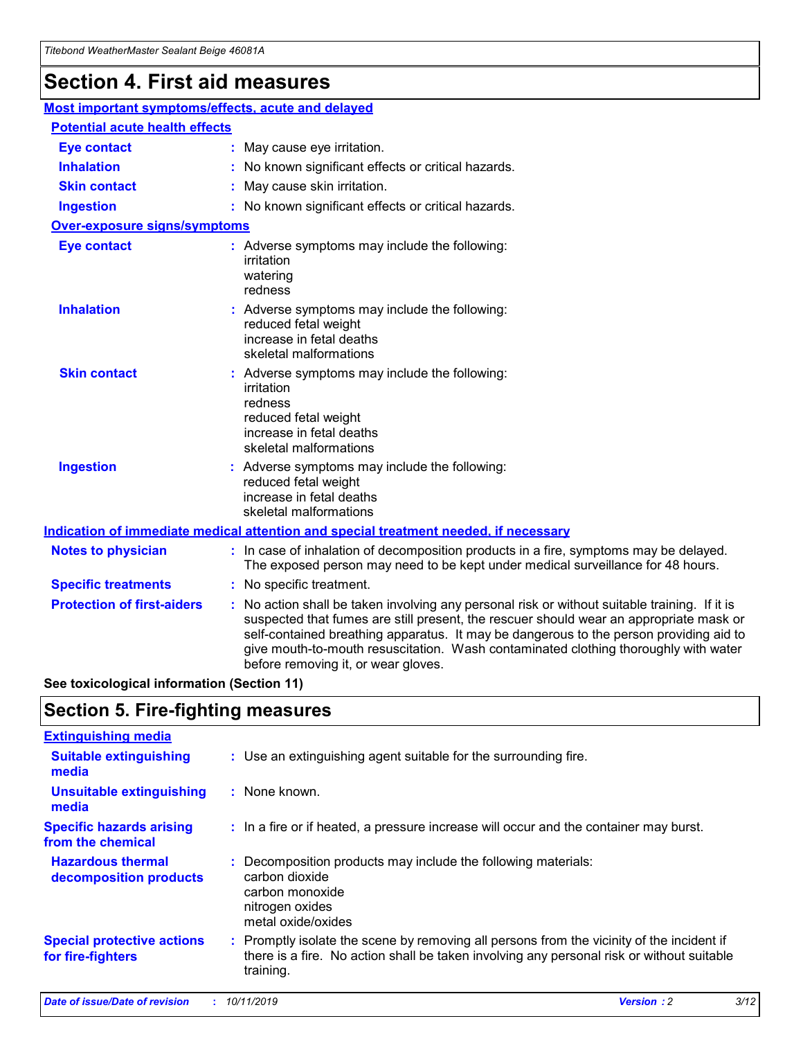# **Section 4. First aid measures**

| Most important symptoms/effects, acute and delayed |                                       |                                                                                                                                                                                                                                                                                                                                                                                                                 |  |  |  |
|----------------------------------------------------|---------------------------------------|-----------------------------------------------------------------------------------------------------------------------------------------------------------------------------------------------------------------------------------------------------------------------------------------------------------------------------------------------------------------------------------------------------------------|--|--|--|
|                                                    | <b>Potential acute health effects</b> |                                                                                                                                                                                                                                                                                                                                                                                                                 |  |  |  |
| <b>Eye contact</b>                                 |                                       | : May cause eye irritation.                                                                                                                                                                                                                                                                                                                                                                                     |  |  |  |
| <b>Inhalation</b>                                  |                                       | : No known significant effects or critical hazards.                                                                                                                                                                                                                                                                                                                                                             |  |  |  |
| <b>Skin contact</b>                                |                                       | : May cause skin irritation.                                                                                                                                                                                                                                                                                                                                                                                    |  |  |  |
| <b>Ingestion</b>                                   |                                       | : No known significant effects or critical hazards.                                                                                                                                                                                                                                                                                                                                                             |  |  |  |
| <b>Over-exposure signs/symptoms</b>                |                                       |                                                                                                                                                                                                                                                                                                                                                                                                                 |  |  |  |
| <b>Eye contact</b>                                 |                                       | : Adverse symptoms may include the following:<br>irritation<br>watering<br>redness                                                                                                                                                                                                                                                                                                                              |  |  |  |
| <b>Inhalation</b>                                  |                                       | : Adverse symptoms may include the following:<br>reduced fetal weight<br>increase in fetal deaths<br>skeletal malformations                                                                                                                                                                                                                                                                                     |  |  |  |
| <b>Skin contact</b>                                |                                       | : Adverse symptoms may include the following:<br>irritation<br>redness<br>reduced fetal weight<br>increase in fetal deaths<br>skeletal malformations                                                                                                                                                                                                                                                            |  |  |  |
| <b>Ingestion</b>                                   |                                       | : Adverse symptoms may include the following:<br>reduced fetal weight<br>increase in fetal deaths<br>skeletal malformations                                                                                                                                                                                                                                                                                     |  |  |  |
|                                                    |                                       | <b>Indication of immediate medical attention and special treatment needed, if necessary</b>                                                                                                                                                                                                                                                                                                                     |  |  |  |
| <b>Notes to physician</b>                          |                                       | : In case of inhalation of decomposition products in a fire, symptoms may be delayed.<br>The exposed person may need to be kept under medical surveillance for 48 hours.                                                                                                                                                                                                                                        |  |  |  |
| <b>Specific treatments</b>                         |                                       | : No specific treatment.                                                                                                                                                                                                                                                                                                                                                                                        |  |  |  |
| <b>Protection of first-aiders</b>                  |                                       | : No action shall be taken involving any personal risk or without suitable training. If it is<br>suspected that fumes are still present, the rescuer should wear an appropriate mask or<br>self-contained breathing apparatus. It may be dangerous to the person providing aid to<br>give mouth-to-mouth resuscitation. Wash contaminated clothing thoroughly with water<br>before removing it, or wear gloves. |  |  |  |

**See toxicological information (Section 11)**

# **Section 5. Fire-fighting measures**

| <b>Extinguishing media</b>                             |                                                                                                                                                                                                     |
|--------------------------------------------------------|-----------------------------------------------------------------------------------------------------------------------------------------------------------------------------------------------------|
| <b>Suitable extinguishing</b><br>media                 | : Use an extinguishing agent suitable for the surrounding fire.                                                                                                                                     |
| <b>Unsuitable extinguishing</b><br>media               | : None known.                                                                                                                                                                                       |
| <b>Specific hazards arising</b><br>from the chemical   | : In a fire or if heated, a pressure increase will occur and the container may burst.                                                                                                               |
| <b>Hazardous thermal</b><br>decomposition products     | : Decomposition products may include the following materials:<br>carbon dioxide<br>carbon monoxide<br>nitrogen oxides<br>metal oxide/oxides                                                         |
| <b>Special protective actions</b><br>for fire-fighters | : Promptly isolate the scene by removing all persons from the vicinity of the incident if<br>there is a fire. No action shall be taken involving any personal risk or without suitable<br>training. |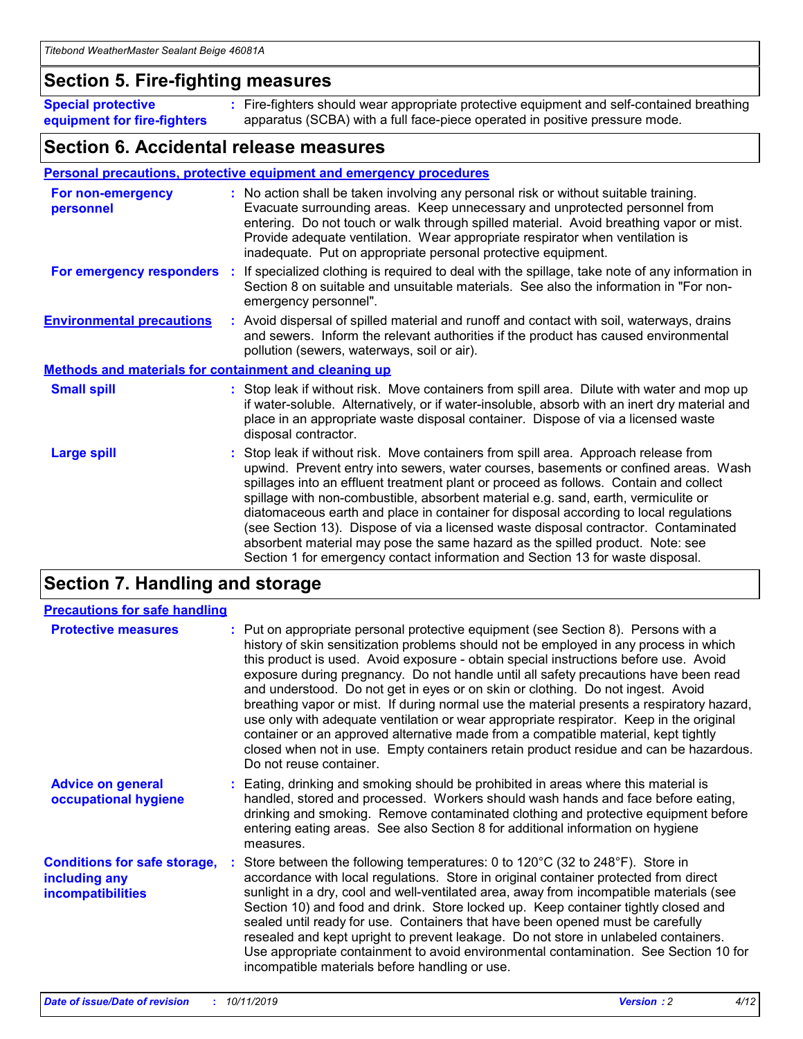## **Section 5. Fire-fighting measures**

**Special protective equipment for fire-fighters** Fire-fighters should wear appropriate protective equipment and self-contained breathing **:** apparatus (SCBA) with a full face-piece operated in positive pressure mode.

## **Section 6. Accidental release measures**

#### **Personal precautions, protective equipment and emergency procedures**

| For non-emergency<br>personnel                               | : No action shall be taken involving any personal risk or without suitable training.<br>Evacuate surrounding areas. Keep unnecessary and unprotected personnel from<br>entering. Do not touch or walk through spilled material. Avoid breathing vapor or mist.<br>Provide adequate ventilation. Wear appropriate respirator when ventilation is<br>inadequate. Put on appropriate personal protective equipment.                                                                                                                                                                                                                                                                                             |
|--------------------------------------------------------------|--------------------------------------------------------------------------------------------------------------------------------------------------------------------------------------------------------------------------------------------------------------------------------------------------------------------------------------------------------------------------------------------------------------------------------------------------------------------------------------------------------------------------------------------------------------------------------------------------------------------------------------------------------------------------------------------------------------|
|                                                              | For emergency responders : If specialized clothing is required to deal with the spillage, take note of any information in<br>Section 8 on suitable and unsuitable materials. See also the information in "For non-<br>emergency personnel".                                                                                                                                                                                                                                                                                                                                                                                                                                                                  |
| <b>Environmental precautions</b>                             | : Avoid dispersal of spilled material and runoff and contact with soil, waterways, drains<br>and sewers. Inform the relevant authorities if the product has caused environmental<br>pollution (sewers, waterways, soil or air).                                                                                                                                                                                                                                                                                                                                                                                                                                                                              |
| <b>Methods and materials for containment and cleaning up</b> |                                                                                                                                                                                                                                                                                                                                                                                                                                                                                                                                                                                                                                                                                                              |
| <b>Small spill</b>                                           | : Stop leak if without risk. Move containers from spill area. Dilute with water and mop up<br>if water-soluble. Alternatively, or if water-insoluble, absorb with an inert dry material and<br>place in an appropriate waste disposal container. Dispose of via a licensed waste<br>disposal contractor.                                                                                                                                                                                                                                                                                                                                                                                                     |
| <b>Large spill</b>                                           | : Stop leak if without risk. Move containers from spill area. Approach release from<br>upwind. Prevent entry into sewers, water courses, basements or confined areas. Wash<br>spillages into an effluent treatment plant or proceed as follows. Contain and collect<br>spillage with non-combustible, absorbent material e.g. sand, earth, vermiculite or<br>diatomaceous earth and place in container for disposal according to local regulations<br>(see Section 13). Dispose of via a licensed waste disposal contractor. Contaminated<br>absorbent material may pose the same hazard as the spilled product. Note: see<br>Section 1 for emergency contact information and Section 13 for waste disposal. |

# **Section 7. Handling and storage**

| <b>Precautions for safe handling</b>                                             |                                                                                                                                                                                                                                                                                                                                                                                                                                                                                                                                                                                                                                                                                                                                                                                                                                                  |
|----------------------------------------------------------------------------------|--------------------------------------------------------------------------------------------------------------------------------------------------------------------------------------------------------------------------------------------------------------------------------------------------------------------------------------------------------------------------------------------------------------------------------------------------------------------------------------------------------------------------------------------------------------------------------------------------------------------------------------------------------------------------------------------------------------------------------------------------------------------------------------------------------------------------------------------------|
| <b>Protective measures</b>                                                       | : Put on appropriate personal protective equipment (see Section 8). Persons with a<br>history of skin sensitization problems should not be employed in any process in which<br>this product is used. Avoid exposure - obtain special instructions before use. Avoid<br>exposure during pregnancy. Do not handle until all safety precautions have been read<br>and understood. Do not get in eyes or on skin or clothing. Do not ingest. Avoid<br>breathing vapor or mist. If during normal use the material presents a respiratory hazard,<br>use only with adequate ventilation or wear appropriate respirator. Keep in the original<br>container or an approved alternative made from a compatible material, kept tightly<br>closed when not in use. Empty containers retain product residue and can be hazardous.<br>Do not reuse container. |
| <b>Advice on general</b><br>occupational hygiene                                 | : Eating, drinking and smoking should be prohibited in areas where this material is<br>handled, stored and processed. Workers should wash hands and face before eating,<br>drinking and smoking. Remove contaminated clothing and protective equipment before<br>entering eating areas. See also Section 8 for additional information on hygiene<br>measures.                                                                                                                                                                                                                                                                                                                                                                                                                                                                                    |
| <b>Conditions for safe storage,</b><br>including any<br><b>incompatibilities</b> | : Store between the following temperatures: 0 to 120 $\degree$ C (32 to 248 $\degree$ F). Store in<br>accordance with local regulations. Store in original container protected from direct<br>sunlight in a dry, cool and well-ventilated area, away from incompatible materials (see<br>Section 10) and food and drink. Store locked up. Keep container tightly closed and<br>sealed until ready for use. Containers that have been opened must be carefully<br>resealed and kept upright to prevent leakage. Do not store in unlabeled containers.<br>Use appropriate containment to avoid environmental contamination. See Section 10 for<br>incompatible materials before handling or use.                                                                                                                                                   |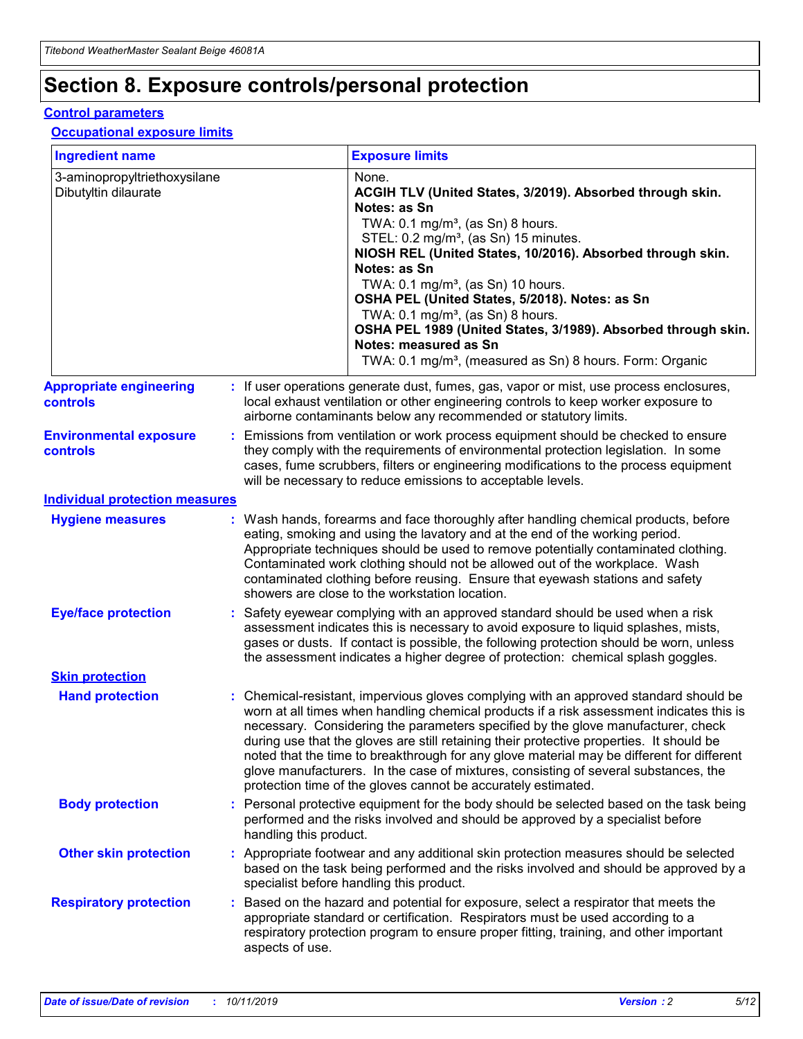# **Section 8. Exposure controls/personal protection**

#### **Control parameters**

#### **Occupational exposure limits**

| <b>Ingredient name</b>                               |    |                                          | <b>Exposure limits</b>                                                                                                                                                                                                                                                                                                                                                                                                                                                                                                                                                                                                 |
|------------------------------------------------------|----|------------------------------------------|------------------------------------------------------------------------------------------------------------------------------------------------------------------------------------------------------------------------------------------------------------------------------------------------------------------------------------------------------------------------------------------------------------------------------------------------------------------------------------------------------------------------------------------------------------------------------------------------------------------------|
| 3-aminopropyltriethoxysilane<br>Dibutyltin dilaurate |    |                                          | None.<br>ACGIH TLV (United States, 3/2019). Absorbed through skin.<br>Notes: as Sn<br>TWA: 0.1 mg/m <sup>3</sup> , (as Sn) 8 hours.<br>STEL: 0.2 mg/m <sup>3</sup> , (as Sn) 15 minutes.<br>NIOSH REL (United States, 10/2016). Absorbed through skin.<br>Notes: as Sn<br>TWA: 0.1 mg/m <sup>3</sup> , (as Sn) 10 hours.<br>OSHA PEL (United States, 5/2018). Notes: as Sn<br>TWA: $0.1 \text{ mg/m}^3$ , (as Sn) 8 hours.<br>OSHA PEL 1989 (United States, 3/1989). Absorbed through skin.<br>Notes: measured as Sn<br>TWA: 0.1 mg/m <sup>3</sup> , (measured as Sn) 8 hours. Form: Organic                           |
| <b>Appropriate engineering</b><br>controls           |    |                                          | : If user operations generate dust, fumes, gas, vapor or mist, use process enclosures,<br>local exhaust ventilation or other engineering controls to keep worker exposure to<br>airborne contaminants below any recommended or statutory limits.                                                                                                                                                                                                                                                                                                                                                                       |
| <b>Environmental exposure</b><br><b>controls</b>     |    |                                          | Emissions from ventilation or work process equipment should be checked to ensure<br>they comply with the requirements of environmental protection legislation. In some<br>cases, fume scrubbers, filters or engineering modifications to the process equipment<br>will be necessary to reduce emissions to acceptable levels.                                                                                                                                                                                                                                                                                          |
| <b>Individual protection measures</b>                |    |                                          |                                                                                                                                                                                                                                                                                                                                                                                                                                                                                                                                                                                                                        |
| <b>Hygiene measures</b>                              |    |                                          | : Wash hands, forearms and face thoroughly after handling chemical products, before<br>eating, smoking and using the lavatory and at the end of the working period.<br>Appropriate techniques should be used to remove potentially contaminated clothing.<br>Contaminated work clothing should not be allowed out of the workplace. Wash<br>contaminated clothing before reusing. Ensure that eyewash stations and safety<br>showers are close to the workstation location.                                                                                                                                            |
| <b>Eye/face protection</b>                           |    |                                          | : Safety eyewear complying with an approved standard should be used when a risk<br>assessment indicates this is necessary to avoid exposure to liquid splashes, mists,<br>gases or dusts. If contact is possible, the following protection should be worn, unless<br>the assessment indicates a higher degree of protection: chemical splash goggles.                                                                                                                                                                                                                                                                  |
| <b>Skin protection</b>                               |    |                                          |                                                                                                                                                                                                                                                                                                                                                                                                                                                                                                                                                                                                                        |
| <b>Hand protection</b>                               |    |                                          | : Chemical-resistant, impervious gloves complying with an approved standard should be<br>worn at all times when handling chemical products if a risk assessment indicates this is<br>necessary. Considering the parameters specified by the glove manufacturer, check<br>during use that the gloves are still retaining their protective properties. It should be<br>noted that the time to breakthrough for any glove material may be different for different<br>glove manufacturers. In the case of mixtures, consisting of several substances, the<br>protection time of the gloves cannot be accurately estimated. |
| <b>Body protection</b>                               |    | handling this product.                   | Personal protective equipment for the body should be selected based on the task being<br>performed and the risks involved and should be approved by a specialist before                                                                                                                                                                                                                                                                                                                                                                                                                                                |
| <b>Other skin protection</b>                         |    | specialist before handling this product. | : Appropriate footwear and any additional skin protection measures should be selected<br>based on the task being performed and the risks involved and should be approved by a                                                                                                                                                                                                                                                                                                                                                                                                                                          |
| <b>Respiratory protection</b>                        | ÷. | aspects of use.                          | Based on the hazard and potential for exposure, select a respirator that meets the<br>appropriate standard or certification. Respirators must be used according to a<br>respiratory protection program to ensure proper fitting, training, and other important                                                                                                                                                                                                                                                                                                                                                         |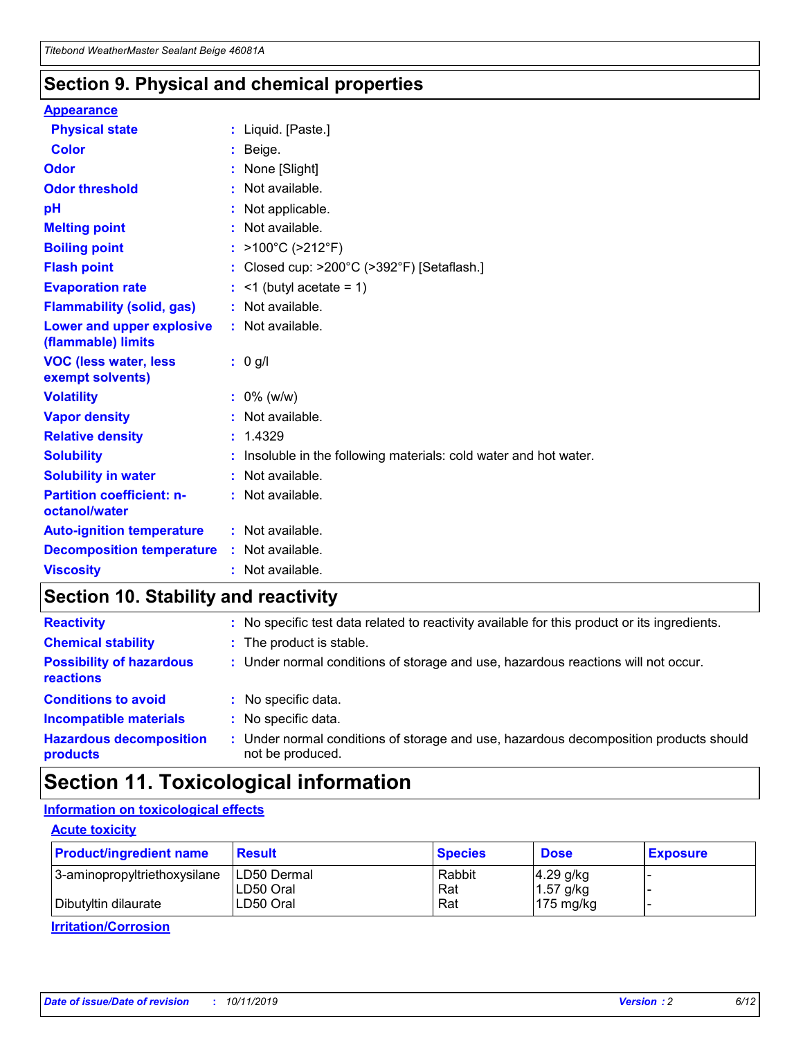## **Section 9. Physical and chemical properties**

#### **Appearance**

| <b>Physical state</b>                             | : Liquid. [Paste.]                                                |
|---------------------------------------------------|-------------------------------------------------------------------|
| Color                                             | Beige.                                                            |
| Odor                                              | None [Slight]                                                     |
| <b>Odor threshold</b>                             | : Not available.                                                  |
| рH                                                | : Not applicable.                                                 |
| <b>Melting point</b>                              | : Not available.                                                  |
| <b>Boiling point</b>                              | : $>100^{\circ}$ C ( $>212^{\circ}$ F)                            |
| <b>Flash point</b>                                | : Closed cup: $>200^{\circ}$ C ( $>392^{\circ}$ F) [Setaflash.]   |
| <b>Evaporation rate</b>                           | $:$ <1 (butyl acetate = 1)                                        |
| <b>Flammability (solid, gas)</b>                  | : Not available.                                                  |
| Lower and upper explosive<br>(flammable) limits   | : Not available.                                                  |
| <b>VOC (less water, less</b><br>exempt solvents)  | $: 0$ g/l                                                         |
| <b>Volatility</b>                                 | $: 0\%$ (w/w)                                                     |
| <b>Vapor density</b>                              | : Not available.                                                  |
| <b>Relative density</b>                           | : 1.4329                                                          |
| <b>Solubility</b>                                 | : Insoluble in the following materials: cold water and hot water. |
| <b>Solubility in water</b>                        | : Not available.                                                  |
| <b>Partition coefficient: n-</b><br>octanol/water | : Not available.                                                  |
| <b>Auto-ignition temperature</b>                  | : Not available.                                                  |
| <b>Decomposition temperature</b>                  | : Not available.                                                  |
| <b>Viscosity</b>                                  | : Not available.                                                  |

# **Section 10. Stability and reactivity**

| <b>Reactivity</b>                            |    | : No specific test data related to reactivity available for this product or its ingredients.            |
|----------------------------------------------|----|---------------------------------------------------------------------------------------------------------|
| <b>Chemical stability</b>                    |    | : The product is stable.                                                                                |
| <b>Possibility of hazardous</b><br>reactions |    | : Under normal conditions of storage and use, hazardous reactions will not occur.                       |
| <b>Conditions to avoid</b>                   |    | : No specific data.                                                                                     |
| <b>Incompatible materials</b>                | ٠. | No specific data.                                                                                       |
| <b>Hazardous decomposition</b><br>products   | ÷. | Under normal conditions of storage and use, hazardous decomposition products should<br>not be produced. |

# **Section 11. Toxicological information**

## **Information on toxicological effects**

#### **Acute toxicity**

| <b>Product/ingredient name</b> | <b>Result</b>           | <b>Species</b> | <b>Dose</b>                | <b>Exposure</b> |
|--------------------------------|-------------------------|----------------|----------------------------|-----------------|
| 3-aminopropyltriethoxysilane   | <b>ILD50 Dermal</b>     | Rabbit         | 4.29 g/kg                  |                 |
| Dibutyltin dilaurate           | ILD50 Oral<br>LD50 Oral | Rat<br>Rat     | $1.57$ g/kg<br>175 $mg/kg$ |                 |
|                                |                         |                |                            |                 |

**Irritation/Corrosion**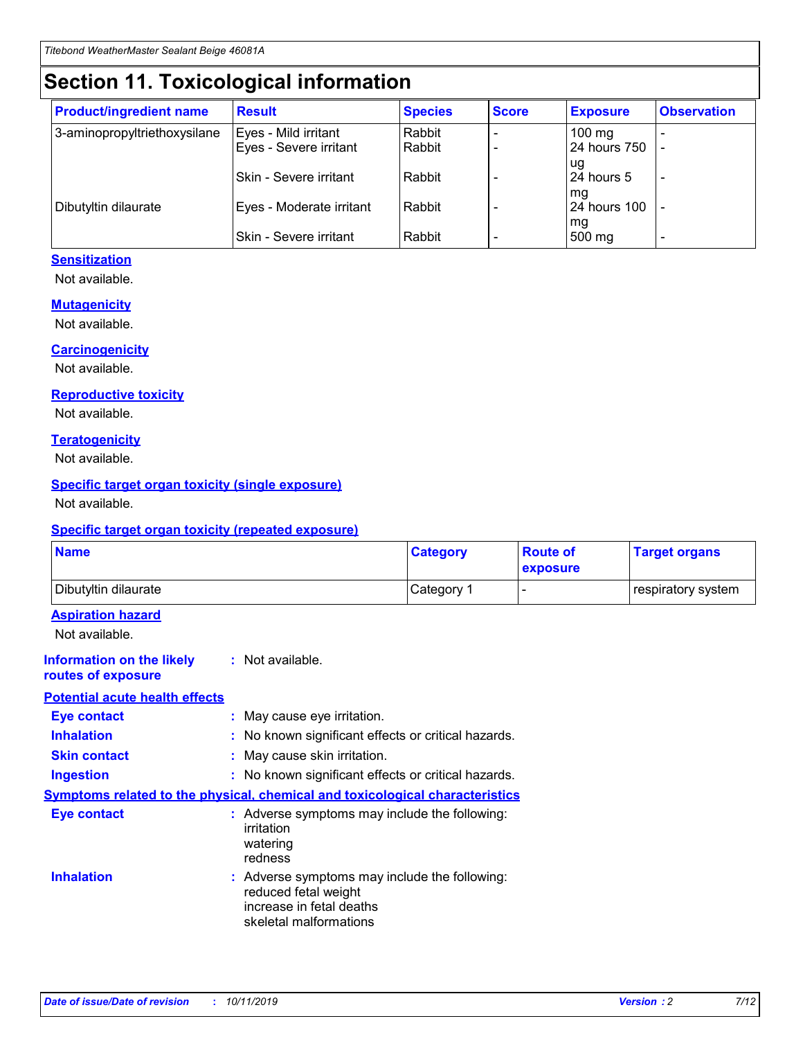# **Section 11. Toxicological information**

| <b>Product/ingredient name</b> | <b>Result</b>            | <b>Species</b> | <b>Score</b> | <b>Exposure</b>           | <b>Observation</b> |
|--------------------------------|--------------------------|----------------|--------------|---------------------------|--------------------|
| 3-aminopropyltriethoxysilane   | Eyes - Mild irritant     | Rabbit         |              | $100$ mg                  |                    |
|                                | Eyes - Severe irritant   | Rabbit         |              | 24 hours 750              |                    |
|                                |                          |                |              | ug                        |                    |
|                                | Skin - Severe irritant   | Rabbit         |              | 24 hours 5                | -                  |
| Dibutyltin dilaurate           | Eyes - Moderate irritant | Rabbit         |              | mg<br><b>24 hours 100</b> |                    |
|                                |                          |                |              | mg                        |                    |
|                                | Skin - Severe irritant   | Rabbit         |              | 500 mg                    | -                  |

## **Sensitization**

Not available.

#### **Mutagenicity**

Not available.

#### **Carcinogenicity**

Not available.

#### **Reproductive toxicity**

Not available.

#### **Teratogenicity**

Not available.

#### **Specific target organ toxicity (single exposure)**

Not available.

#### **Specific target organ toxicity (repeated exposure)**

| <b>Name</b>                                                                  |                                                                                                                             | <b>Category</b> | <b>Route of</b><br>exposure  | <b>Target organs</b> |
|------------------------------------------------------------------------------|-----------------------------------------------------------------------------------------------------------------------------|-----------------|------------------------------|----------------------|
| Dibutyltin dilaurate                                                         |                                                                                                                             | Category 1      | $\qquad \qquad \blacksquare$ | respiratory system   |
| <b>Aspiration hazard</b><br>Not available.                                   |                                                                                                                             |                 |                              |                      |
| <b>Information on the likely</b><br>routes of exposure                       | : Not available.                                                                                                            |                 |                              |                      |
| <b>Potential acute health effects</b>                                        |                                                                                                                             |                 |                              |                      |
| <b>Eye contact</b>                                                           | : May cause eye irritation.                                                                                                 |                 |                              |                      |
| <b>Inhalation</b>                                                            | : No known significant effects or critical hazards.                                                                         |                 |                              |                      |
| <b>Skin contact</b>                                                          | : May cause skin irritation.                                                                                                |                 |                              |                      |
| <b>Ingestion</b>                                                             | : No known significant effects or critical hazards.                                                                         |                 |                              |                      |
| Symptoms related to the physical, chemical and toxicological characteristics |                                                                                                                             |                 |                              |                      |
| <b>Eye contact</b>                                                           | : Adverse symptoms may include the following:<br>irritation<br>watering<br>redness                                          |                 |                              |                      |
| <b>Inhalation</b>                                                            | : Adverse symptoms may include the following:<br>reduced fetal weight<br>increase in fetal deaths<br>skeletal malformations |                 |                              |                      |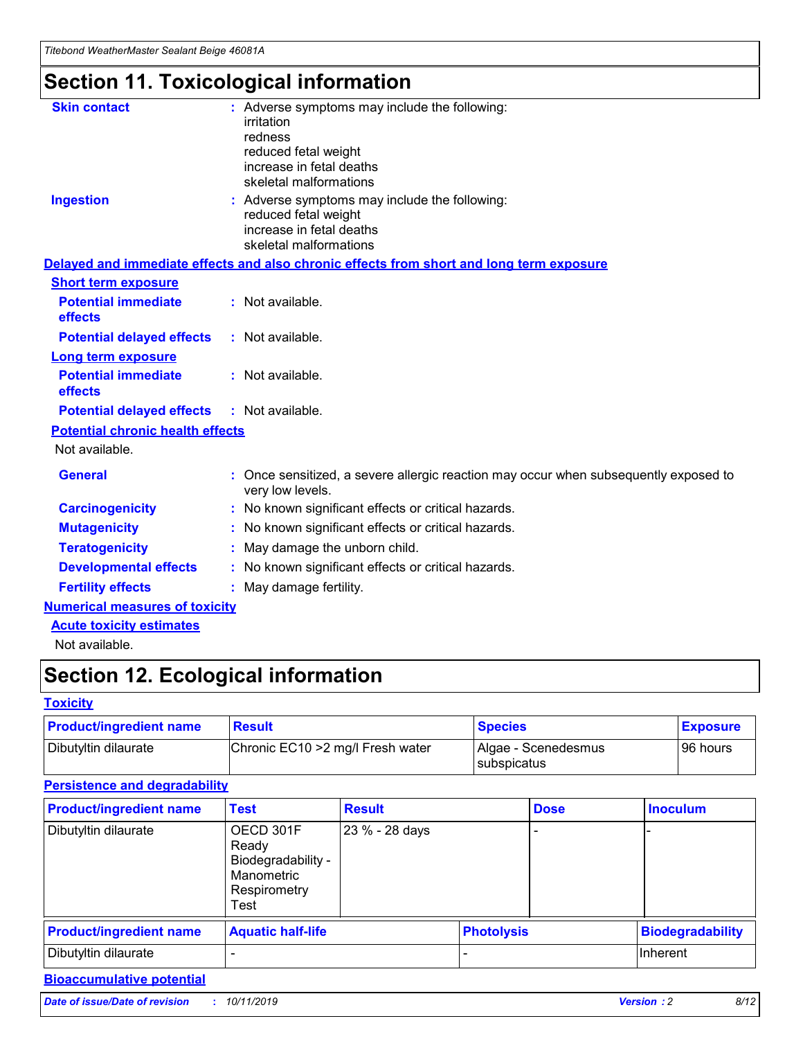# **Section 11. Toxicological information**

| <b>Skin contact</b>                     | : Adverse symptoms may include the following:                                                            |
|-----------------------------------------|----------------------------------------------------------------------------------------------------------|
|                                         | irritation                                                                                               |
|                                         | redness                                                                                                  |
|                                         | reduced fetal weight                                                                                     |
|                                         | increase in fetal deaths                                                                                 |
|                                         | skeletal malformations                                                                                   |
| <b>Ingestion</b>                        | : Adverse symptoms may include the following:                                                            |
|                                         | reduced fetal weight                                                                                     |
|                                         | increase in fetal deaths                                                                                 |
|                                         | skeletal malformations                                                                                   |
|                                         | Delayed and immediate effects and also chronic effects from short and long term exposure                 |
| <b>Short term exposure</b>              |                                                                                                          |
| <b>Potential immediate</b>              | : Not available.                                                                                         |
| effects                                 |                                                                                                          |
| <b>Potential delayed effects</b>        | : Not available.                                                                                         |
| Long term exposure                      |                                                                                                          |
| <b>Potential immediate</b>              | : Not available.                                                                                         |
| effects                                 |                                                                                                          |
| <b>Potential delayed effects</b>        | : Not available.                                                                                         |
| <b>Potential chronic health effects</b> |                                                                                                          |
| Not available.                          |                                                                                                          |
| <b>General</b>                          | : Once sensitized, a severe allergic reaction may occur when subsequently exposed to<br>very low levels. |
| <b>Carcinogenicity</b>                  | : No known significant effects or critical hazards.                                                      |
| <b>Mutagenicity</b>                     | : No known significant effects or critical hazards.                                                      |
| <b>Teratogenicity</b>                   | May damage the unborn child.                                                                             |
| <b>Developmental effects</b>            | : No known significant effects or critical hazards.                                                      |
| <b>Fertility effects</b>                | May damage fertility.                                                                                    |
| <b>Numerical measures of toxicity</b>   |                                                                                                          |
| <b>Acute toxicity estimates</b>         |                                                                                                          |
| الملحلة والمستحيط والمسالم              |                                                                                                          |

Not available.

# **Section 12. Ecological information**

#### **Toxicity**

| <b>Product/ingredient name</b> | <b>Result</b>                     | <b>Species</b>                       | <b>Exposure</b> |
|--------------------------------|-----------------------------------|--------------------------------------|-----------------|
| Dibutyltin dilaurate           | Chronic EC10 > 2 mg/l Fresh water | Algae - Scenedesmus<br>I subspicatus | l 96 hours      |

### **Persistence and degradability**

| <b>Product/ingredient name</b> | Test                                                                           | <b>Result</b>  |                   | <b>Dose</b> | <b>Inoculum</b>         |
|--------------------------------|--------------------------------------------------------------------------------|----------------|-------------------|-------------|-------------------------|
| Dibutyltin dilaurate           | OECD 301F<br>Ready<br>Biodegradability -<br>Manometric<br>Respirometry<br>Test | 23 % - 28 days |                   |             |                         |
| <b>Product/ingredient name</b> | <b>Aquatic half-life</b>                                                       |                | <b>Photolysis</b> |             | <b>Biodegradability</b> |
| Dibutyltin dilaurate           |                                                                                |                |                   |             | Inherent                |

#### **Bioaccumulative potential**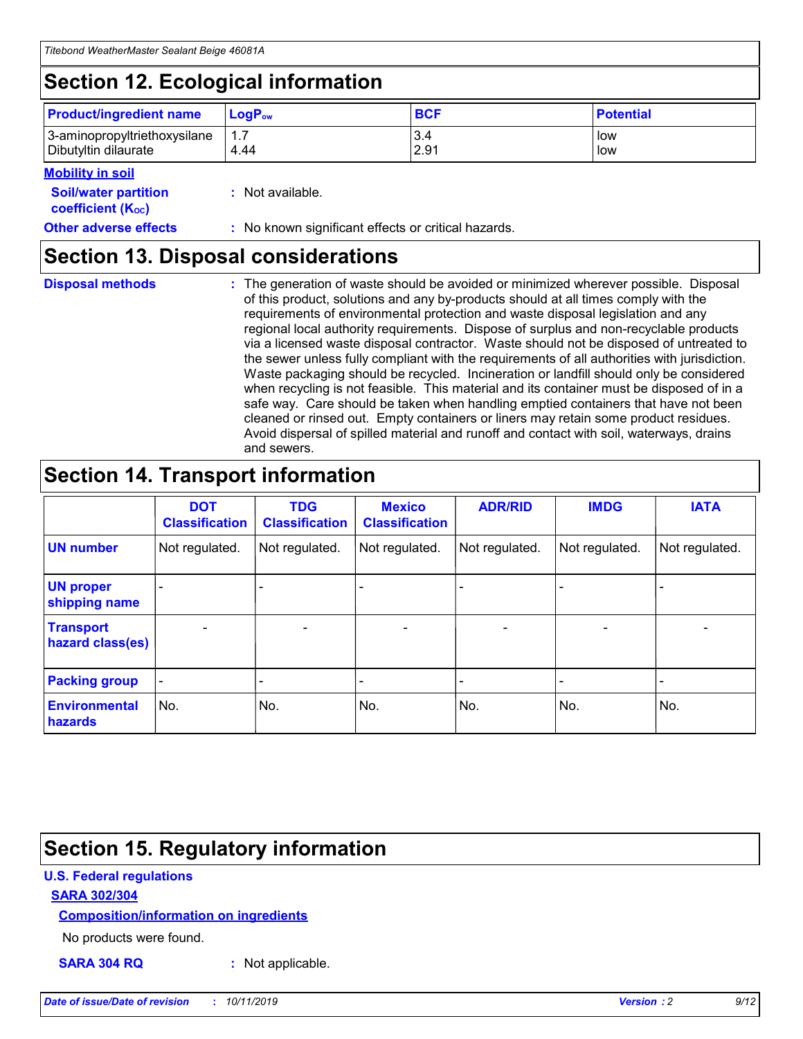# **Section 12. Ecological information**

| <b>Product/ingredient name</b> | $LoaPow$ | <b>BCF</b> | <b>Potential</b> |
|--------------------------------|----------|------------|------------------|
| 3-aminopropyltriethoxysilane   | 1.7      | 3.4        | low              |
| Dibutyltin dilaurate           | 4.44     | 2.91       | low              |

#### **Mobility in soil**

| <i></i>                                                       |                                                     |
|---------------------------------------------------------------|-----------------------------------------------------|
| <b>Soil/water partition</b><br>coefficient (K <sub>oc</sub> ) | : Not available.                                    |
| <b>Other adverse effects</b>                                  | : No known significant effects or critical hazards. |

## **Section 13. Disposal considerations**

**Disposal methods :**

The generation of waste should be avoided or minimized wherever possible. Disposal of this product, solutions and any by-products should at all times comply with the requirements of environmental protection and waste disposal legislation and any regional local authority requirements. Dispose of surplus and non-recyclable products via a licensed waste disposal contractor. Waste should not be disposed of untreated to the sewer unless fully compliant with the requirements of all authorities with jurisdiction. Waste packaging should be recycled. Incineration or landfill should only be considered when recycling is not feasible. This material and its container must be disposed of in a safe way. Care should be taken when handling emptied containers that have not been cleaned or rinsed out. Empty containers or liners may retain some product residues. Avoid dispersal of spilled material and runoff and contact with soil, waterways, drains and sewers.

# **Section 14. Transport information**

|                                      | <b>DOT</b><br><b>Classification</b> | <b>TDG</b><br><b>Classification</b> | <b>Mexico</b><br><b>Classification</b> | <b>ADR/RID</b> | <b>IMDG</b>              | <b>IATA</b>              |
|--------------------------------------|-------------------------------------|-------------------------------------|----------------------------------------|----------------|--------------------------|--------------------------|
| <b>UN number</b>                     | Not regulated.                      | Not regulated.                      | Not regulated.                         | Not regulated. | Not regulated.           | Not regulated.           |
| <b>UN proper</b><br>shipping name    | $\blacksquare$                      |                                     |                                        |                |                          |                          |
| <b>Transport</b><br>hazard class(es) | $\blacksquare$                      | $\overline{\phantom{a}}$            | $\blacksquare$                         | $\blacksquare$ | $\overline{\phantom{a}}$ | $\overline{\phantom{0}}$ |
| <b>Packing group</b>                 | $\overline{\phantom{a}}$            | $\overline{\phantom{0}}$            | $\overline{\phantom{a}}$               | -              | $\overline{\phantom{0}}$ | $\overline{\phantom{a}}$ |
| <b>Environmental</b><br>hazards      | No.                                 | No.                                 | No.                                    | No.            | No.                      | No.                      |

# **Section 15. Regulatory information**

### **U.S. Federal regulations**

#### **SARA 302/304**

#### **Composition/information on ingredients**

No products were found.

**SARA 304 RQ :** Not applicable.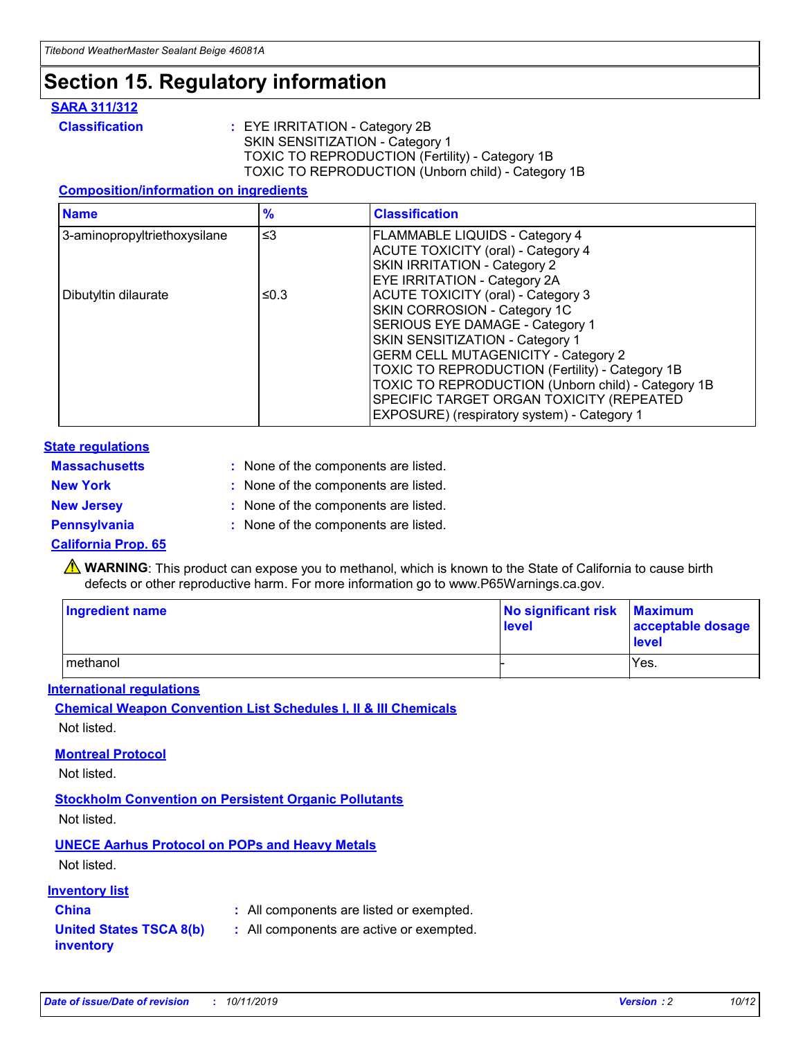# **Section 15. Regulatory information**

#### **SARA 311/312**

**Classification :** EYE IRRITATION - Category 2B SKIN SENSITIZATION - Category 1 TOXIC TO REPRODUCTION (Fertility) - Category 1B TOXIC TO REPRODUCTION (Unborn child) - Category 1B

#### **Composition/information on ingredients**

| <b>Name</b>                  | $\frac{9}{6}$ | <b>Classification</b>                                                                                            |
|------------------------------|---------------|------------------------------------------------------------------------------------------------------------------|
| 3-aminopropyltriethoxysilane | $\leq$ 3      | <b>FLAMMABLE LIQUIDS - Category 4</b><br><b>ACUTE TOXICITY (oral) - Category 4</b>                               |
|                              |               | SKIN IRRITATION - Category 2<br>EYE IRRITATION - Category 2A                                                     |
| Dibutyltin dilaurate         | ≤0.3          | ACUTE TOXICITY (oral) - Category 3<br>SKIN CORROSION - Category 1C                                               |
|                              |               | SERIOUS EYE DAMAGE - Category 1<br>SKIN SENSITIZATION - Category 1<br><b>GERM CELL MUTAGENICITY - Category 2</b> |
|                              |               | TOXIC TO REPRODUCTION (Fertility) - Category 1B<br>TOXIC TO REPRODUCTION (Unborn child) - Category 1B            |
|                              |               | SPECIFIC TARGET ORGAN TOXICITY (REPEATED<br>EXPOSURE) (respiratory system) - Category 1                          |

#### **State regulations**

| <b>Massachusetts</b> | : None of the components are listed. |
|----------------------|--------------------------------------|
| <b>New York</b>      | : None of the components are listed. |
| <b>New Jersey</b>    | : None of the components are listed. |
| <b>Pennsylvania</b>  | : None of the components are listed. |

#### **California Prop. 65**

**A** WARNING: This product can expose you to methanol, which is known to the State of California to cause birth defects or other reproductive harm. For more information go to www.P65Warnings.ca.gov.

| <b>Ingredient name</b> | No significant risk Maximum<br>level | acceptable dosage<br>level |
|------------------------|--------------------------------------|----------------------------|
| methanol               |                                      | Yes.                       |

#### **International regulations**

**Chemical Weapon Convention List Schedules I, II & III Chemicals** Not listed.

#### **Montreal Protocol**

Not listed.

#### **Stockholm Convention on Persistent Organic Pollutants**

Not listed.

## **UNECE Aarhus Protocol on POPs and Heavy Metals**

Not listed.

#### **Inventory list**

## **China :** All components are listed or exempted.

#### **United States TSCA 8(b) inventory :** All components are active or exempted.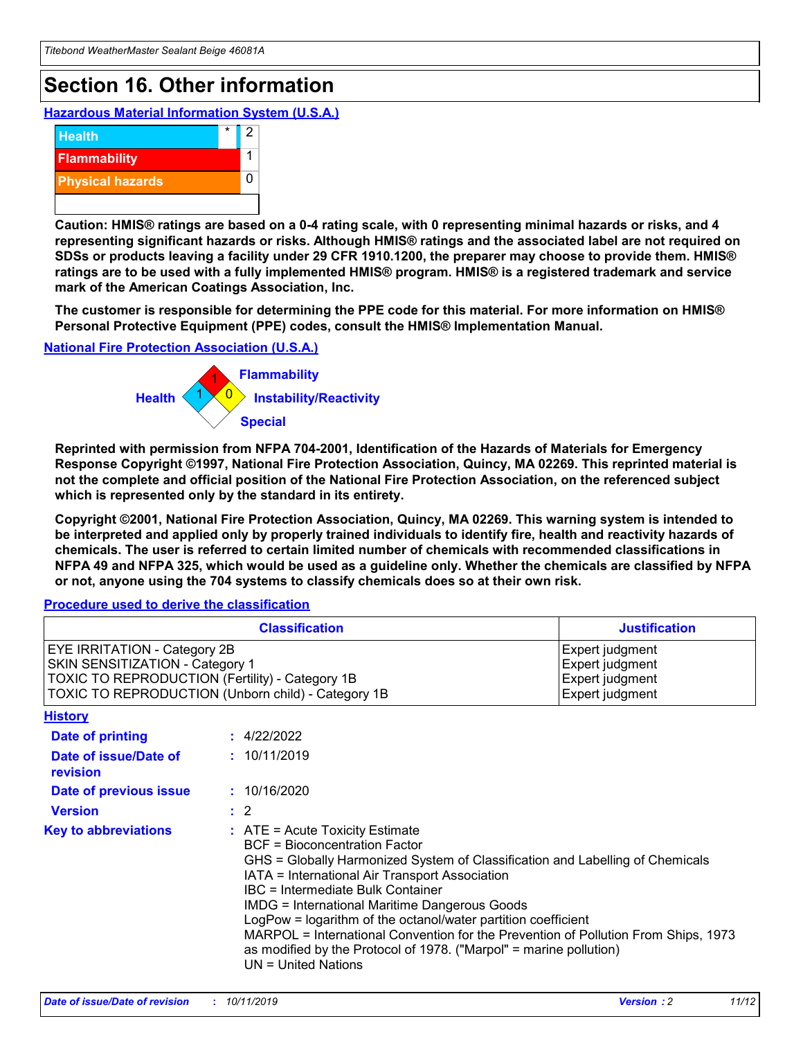# **Section 16. Other information**

**Hazardous Material Information System (U.S.A.)**



**Caution: HMIS® ratings are based on a 0-4 rating scale, with 0 representing minimal hazards or risks, and 4 representing significant hazards or risks. Although HMIS® ratings and the associated label are not required on SDSs or products leaving a facility under 29 CFR 1910.1200, the preparer may choose to provide them. HMIS® ratings are to be used with a fully implemented HMIS® program. HMIS® is a registered trademark and service mark of the American Coatings Association, Inc.**

**The customer is responsible for determining the PPE code for this material. For more information on HMIS® Personal Protective Equipment (PPE) codes, consult the HMIS® Implementation Manual.**

#### **National Fire Protection Association (U.S.A.)**



**Reprinted with permission from NFPA 704-2001, Identification of the Hazards of Materials for Emergency Response Copyright ©1997, National Fire Protection Association, Quincy, MA 02269. This reprinted material is not the complete and official position of the National Fire Protection Association, on the referenced subject which is represented only by the standard in its entirety.**

**Copyright ©2001, National Fire Protection Association, Quincy, MA 02269. This warning system is intended to be interpreted and applied only by properly trained individuals to identify fire, health and reactivity hazards of chemicals. The user is referred to certain limited number of chemicals with recommended classifications in NFPA 49 and NFPA 325, which would be used as a guideline only. Whether the chemicals are classified by NFPA or not, anyone using the 704 systems to classify chemicals does so at their own risk.**

**Procedure used to derive the classification**

| <b>Classification</b>                                                                                                                                                    |                                                                                                                                                  | <b>Justification</b>                                                                                                                                                                                                                                                                                                                                                                                                 |  |
|--------------------------------------------------------------------------------------------------------------------------------------------------------------------------|--------------------------------------------------------------------------------------------------------------------------------------------------|----------------------------------------------------------------------------------------------------------------------------------------------------------------------------------------------------------------------------------------------------------------------------------------------------------------------------------------------------------------------------------------------------------------------|--|
| EYE IRRITATION - Category 2B<br>SKIN SENSITIZATION - Category 1<br>TOXIC TO REPRODUCTION (Fertility) - Category 1B<br>TOXIC TO REPRODUCTION (Unborn child) - Category 1B |                                                                                                                                                  | Expert judgment<br>Expert judgment<br>Expert judgment<br>Expert judgment                                                                                                                                                                                                                                                                                                                                             |  |
| <b>History</b>                                                                                                                                                           |                                                                                                                                                  |                                                                                                                                                                                                                                                                                                                                                                                                                      |  |
| Date of printing                                                                                                                                                         | : 4/22/2022                                                                                                                                      |                                                                                                                                                                                                                                                                                                                                                                                                                      |  |
| Date of issue/Date of<br>revision                                                                                                                                        | : 10/11/2019                                                                                                                                     |                                                                                                                                                                                                                                                                                                                                                                                                                      |  |
| Date of previous issue                                                                                                                                                   | : 10/16/2020                                                                                                                                     |                                                                                                                                                                                                                                                                                                                                                                                                                      |  |
| <b>Version</b>                                                                                                                                                           | $\therefore$ 2                                                                                                                                   |                                                                                                                                                                                                                                                                                                                                                                                                                      |  |
| <b>Key to abbreviations</b>                                                                                                                                              | $\therefore$ ATE = Acute Toxicity Estimate<br><b>BCF</b> = Bioconcentration Factor<br>IBC = Intermediate Bulk Container<br>$UN = United Nations$ | GHS = Globally Harmonized System of Classification and Labelling of Chemicals<br>IATA = International Air Transport Association<br><b>IMDG = International Maritime Dangerous Goods</b><br>LogPow = logarithm of the octanol/water partition coefficient<br>MARPOL = International Convention for the Prevention of Pollution From Ships, 1973<br>as modified by the Protocol of 1978. ("Marpol" = marine pollution) |  |